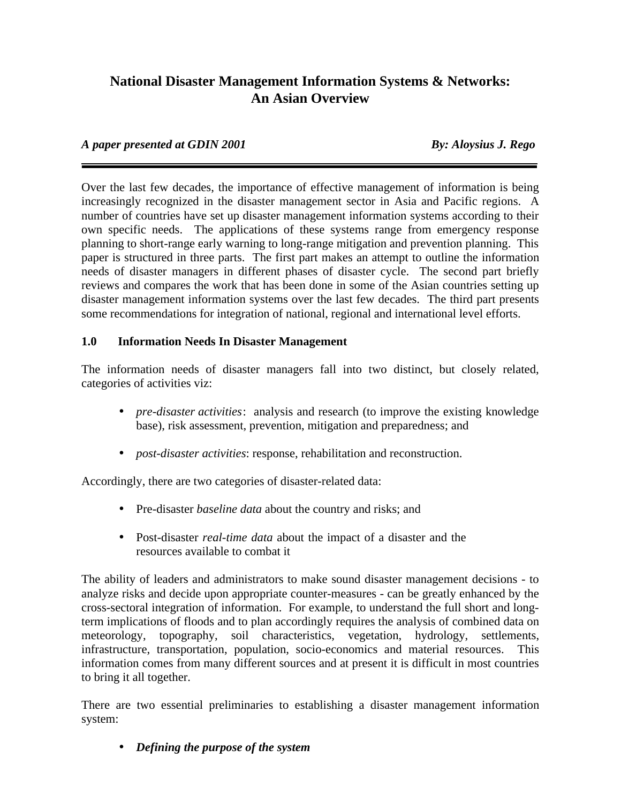# **National Disaster Management Information Systems & Networks: An Asian Overview**

## *A paper presented at GDIN 2001 By: Aloysius J. Rego*

Over the last few decades, the importance of effective management of information is being increasingly recognized in the disaster management sector in Asia and Pacific regions. A number of countries have set up disaster management information systems according to their own specific needs. The applications of these systems range from emergency response planning to short-range early warning to long-range mitigation and prevention planning. This paper is structured in three parts. The first part makes an attempt to outline the information needs of disaster managers in different phases of disaster cycle. The second part briefly reviews and compares the work that has been done in some of the Asian countries setting up disaster management information systems over the last few decades. The third part presents some recommendations for integration of national, regional and international level efforts.

## **1.0 Information Needs In Disaster Management**

The information needs of disaster managers fall into two distinct, but closely related, categories of activities viz:

- *pre-disaster activities*: analysis and research (to improve the existing knowledge base), risk assessment, prevention, mitigation and preparedness; and
- *post-disaster activities*: response, rehabilitation and reconstruction.

Accordingly, there are two categories of disaster-related data:

- Pre-disaster *baseline data* about the country and risks; and
- Post-disaster *real-time data* about the impact of a disaster and the resources available to combat it

The ability of leaders and administrators to make sound disaster management decisions - to analyze risks and decide upon appropriate counter-measures - can be greatly enhanced by the cross-sectoral integration of information. For example, to understand the full short and longterm implications of floods and to plan accordingly requires the analysis of combined data on meteorology, topography, soil characteristics, vegetation, hydrology, settlements, infrastructure, transportation, population, socio-economics and material resources. This information comes from many different sources and at present it is difficult in most countries to bring it all together.

There are two essential preliminaries to establishing a disaster management information system:

• *Defining the purpose of the system*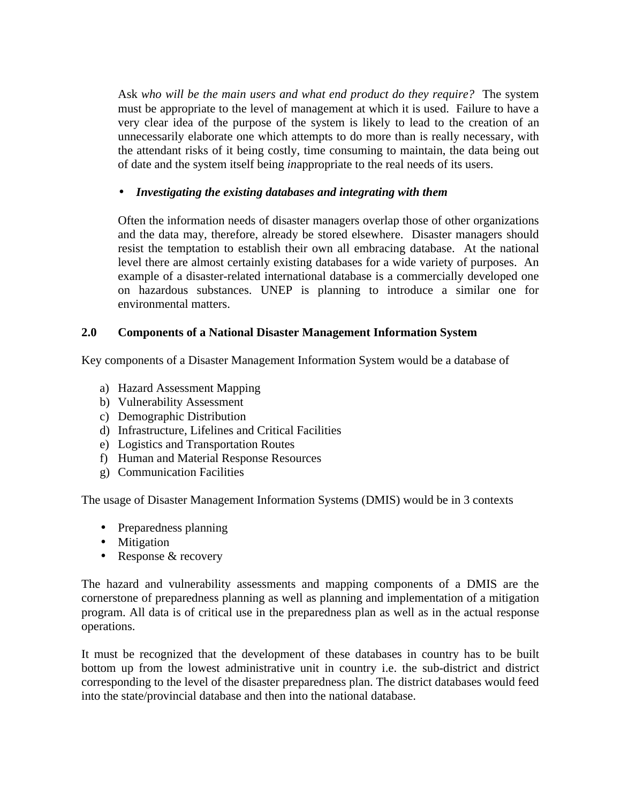Ask *who will be the main users and what end product do they require?* The system must be appropriate to the level of management at which it is used. Failure to have a very clear idea of the purpose of the system is likely to lead to the creation of an unnecessarily elaborate one which attempts to do more than is really necessary, with the attendant risks of it being costly, time consuming to maintain, the data being out of date and the system itself being *in*appropriate to the real needs of its users.

## • *Investigating the existing databases and integrating with them*

Often the information needs of disaster managers overlap those of other organizations and the data may, therefore, already be stored elsewhere. Disaster managers should resist the temptation to establish their own all embracing database. At the national level there are almost certainly existing databases for a wide variety of purposes. An example of a disaster-related international database is a commercially developed one on hazardous substances. UNEP is planning to introduce a similar one for environmental matters.

## **2.0 Components of a National Disaster Management Information System**

Key components of a Disaster Management Information System would be a database of

- a) Hazard Assessment Mapping
- b) Vulnerability Assessment
- c) Demographic Distribution
- d) Infrastructure, Lifelines and Critical Facilities
- e) Logistics and Transportation Routes
- f) Human and Material Response Resources
- g) Communication Facilities

The usage of Disaster Management Information Systems (DMIS) would be in 3 contexts

- Preparedness planning
- Mitigation
- Response & recovery

The hazard and vulnerability assessments and mapping components of a DMIS are the cornerstone of preparedness planning as well as planning and implementation of a mitigation program. All data is of critical use in the preparedness plan as well as in the actual response operations.

It must be recognized that the development of these databases in country has to be built bottom up from the lowest administrative unit in country i.e. the sub-district and district corresponding to the level of the disaster preparedness plan. The district databases would feed into the state/provincial database and then into the national database.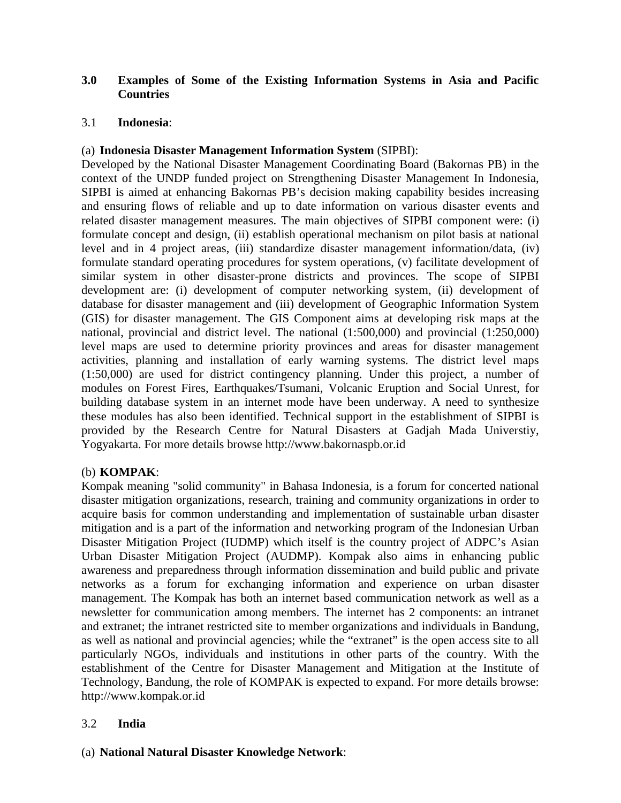# **3.0 Examples of Some of the Existing Information Systems in Asia and Pacific Countries**

## 3.1 **Indonesia**:

## (a) **Indonesia Disaster Management Information System** (SIPBI):

Developed by the National Disaster Management Coordinating Board (Bakornas PB) in the context of the UNDP funded project on Strengthening Disaster Management In Indonesia, SIPBI is aimed at enhancing Bakornas PB's decision making capability besides increasing and ensuring flows of reliable and up to date information on various disaster events and related disaster management measures. The main objectives of SIPBI component were: (i) formulate concept and design, (ii) establish operational mechanism on pilot basis at national level and in 4 project areas, (iii) standardize disaster management information/data, (iv) formulate standard operating procedures for system operations, (v) facilitate development of similar system in other disaster-prone districts and provinces. The scope of SIPBI development are: (i) development of computer networking system, (ii) development of database for disaster management and (iii) development of Geographic Information System (GIS) for disaster management. The GIS Component aims at developing risk maps at the national, provincial and district level. The national (1:500,000) and provincial (1:250,000) level maps are used to determine priority provinces and areas for disaster management activities, planning and installation of early warning systems. The district level maps (1:50,000) are used for district contingency planning. Under this project, a number of modules on Forest Fires, Earthquakes/Tsumani, Volcanic Eruption and Social Unrest, for building database system in an internet mode have been underway. A need to synthesize these modules has also been identified. Technical support in the establishment of SIPBI is provided by the Research Centre for Natural Disasters at Gadjah Mada Universtiy, Yogyakarta. For more details browse http://www.bakornaspb.or.id

#### (b) **KOMPAK**:

Kompak meaning "solid community" in Bahasa Indonesia, is a forum for concerted national disaster mitigation organizations, research, training and community organizations in order to acquire basis for common understanding and implementation of sustainable urban disaster mitigation and is a part of the information and networking program of the Indonesian Urban Disaster Mitigation Project (IUDMP) which itself is the country project of ADPC's Asian Urban Disaster Mitigation Project (AUDMP). Kompak also aims in enhancing public awareness and preparedness through information dissemination and build public and private networks as a forum for exchanging information and experience on urban disaster management. The Kompak has both an internet based communication network as well as a newsletter for communication among members. The internet has 2 components: an intranet and extranet; the intranet restricted site to member organizations and individuals in Bandung, as well as national and provincial agencies; while the "extranet" is the open access site to all particularly NGOs, individuals and institutions in other parts of the country. With the establishment of the Centre for Disaster Management and Mitigation at the Institute of Technology, Bandung, the role of KOMPAK is expected to expand. For more details browse: http://www.kompak.or.id

# 3.2 **India**

# (a) **National Natural Disaster Knowledge Network**: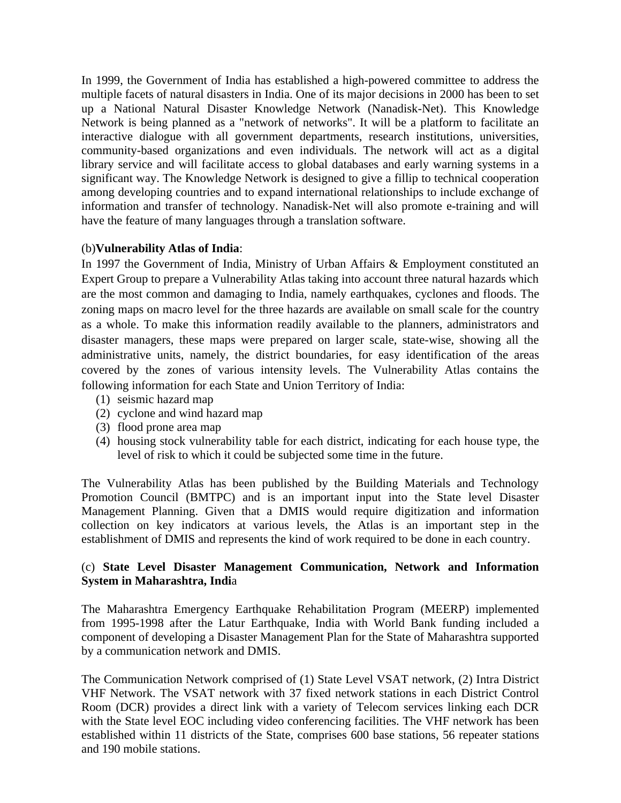In 1999, the Government of India has established a high-powered committee to address the multiple facets of natural disasters in India. One of its major decisions in 2000 has been to set up a National Natural Disaster Knowledge Network (Nanadisk-Net). This Knowledge Network is being planned as a "network of networks". It will be a platform to facilitate an interactive dialogue with all government departments, research institutions, universities, community-based organizations and even individuals. The network will act as a digital library service and will facilitate access to global databases and early warning systems in a significant way. The Knowledge Network is designed to give a fillip to technical cooperation among developing countries and to expand international relationships to include exchange of information and transfer of technology. Nanadisk-Net will also promote e-training and will have the feature of many languages through a translation software.

## (b)**Vulnerability Atlas of India**:

In 1997 the Government of India, Ministry of Urban Affairs & Employment constituted an Expert Group to prepare a Vulnerability Atlas taking into account three natural hazards which are the most common and damaging to India, namely earthquakes, cyclones and floods. The zoning maps on macro level for the three hazards are available on small scale for the country as a whole. To make this information readily available to the planners, administrators and disaster managers, these maps were prepared on larger scale, state-wise, showing all the administrative units, namely, the district boundaries, for easy identification of the areas covered by the zones of various intensity levels. The Vulnerability Atlas contains the following information for each State and Union Territory of India:

- (1) seismic hazard map
- (2) cyclone and wind hazard map
- (3) flood prone area map
- (4) housing stock vulnerability table for each district, indicating for each house type, the level of risk to which it could be subjected some time in the future.

The Vulnerability Atlas has been published by the Building Materials and Technology Promotion Council (BMTPC) and is an important input into the State level Disaster Management Planning. Given that a DMIS would require digitization and information collection on key indicators at various levels, the Atlas is an important step in the establishment of DMIS and represents the kind of work required to be done in each country.

## (c) **State Level Disaster Management Communication, Network and Information System in Maharashtra, Indi**a

The Maharashtra Emergency Earthquake Rehabilitation Program (MEERP) implemented from 1995-1998 after the Latur Earthquake, India with World Bank funding included a component of developing a Disaster Management Plan for the State of Maharashtra supported by a communication network and DMIS.

The Communication Network comprised of (1) State Level VSAT network, (2) Intra District VHF Network. The VSAT network with 37 fixed network stations in each District Control Room (DCR) provides a direct link with a variety of Telecom services linking each DCR with the State level EOC including video conferencing facilities. The VHF network has been established within 11 districts of the State, comprises 600 base stations, 56 repeater stations and 190 mobile stations.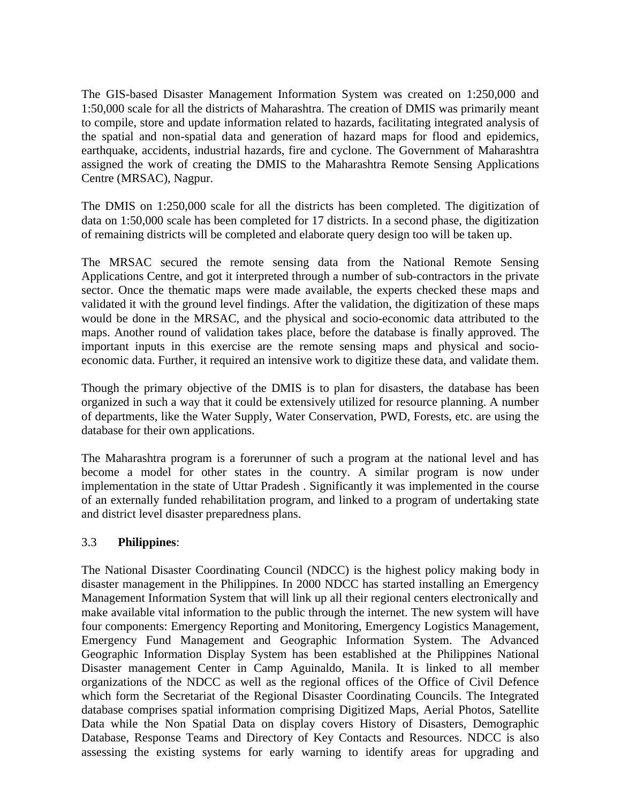The GIS-based Disaster Management Information System was created on 1:250,000 and 1:50,000 scale for all the districts of Maharashtra. The creation of DMIS was primarily meant to compile, store and update information related to hazards, facilitating integrated analysis of the spatial and non-spatial data and generation of hazard maps for flood and epidemics, earthquake, accidents, industrial hazards, fire and cyclone. The Government of Maharashtra assigned the work of creating the DMIS to the Maharashtra Remote Sensing Applications Centre (MRSAC), Nagpur.

The DMIS on 1:250,000 scale for all the districts has been completed. The digitization of data on 1:50,000 scale has been completed for 17 districts. In a second phase, the digitization of remaining districts will be completed and elaborate query design too will be taken up.

The MRSAC secured the remote sensing data from the National Remote Sensing Applications Centre, and got it interpreted through a number of sub-contractors in the private sector. Once the thematic maps were made available, the experts checked these maps and validated it with the ground level findings. After the validation, the digitization of these maps would be done in the MRSAC, and the physical and socio-economic data attributed to the maps. Another round of validation takes place, before the database is finally approved. The important inputs in this exercise are the remote sensing maps and physical and socioeconomic data. Further, it required an intensive work to digitize these data, and validate them.

Though the primary objective of the DMIS is to plan for disasters, the database has been organized in such a way that it could be extensively utilized for resource planning. A number of departments, like the Water Supply, Water Conservation, PWD, Forests, etc. are using the database for their own applications.

The Maharashtra program is a forerunner of such a program at the national level and has become a model for other states in the country. A similar program is now under implementation in the state of Uttar Pradesh . Significantly it was implemented in the course of an externally funded rehabilitation program, and linked to a program of undertaking state and district level disaster preparedness plans.

# 3.3 **Philippines**:

The National Disaster Coordinating Council (NDCC) is the highest policy making body in disaster management in the Philippines. In 2000 NDCC has started installing an Emergency Management Information System that will link up all their regional centers electronically and make available vital information to the public through the internet. The new system will have four components: Emergency Reporting and Monitoring, Emergency Logistics Management, Emergency Fund Management and Geographic Information System. The Advanced Geographic Information Display System has been established at the Philippines National Disaster management Center in Camp Aguinaldo, Manila. It is linked to all member organizations of the NDCC as well as the regional offices of the Office of Civil Defence which form the Secretariat of the Regional Disaster Coordinating Councils. The Integrated database comprises spatial information comprising Digitized Maps, Aerial Photos, Satellite Data while the Non Spatial Data on display covers History of Disasters, Demographic Database, Response Teams and Directory of Key Contacts and Resources. NDCC is also assessing the existing systems for early warning to identify areas for upgrading and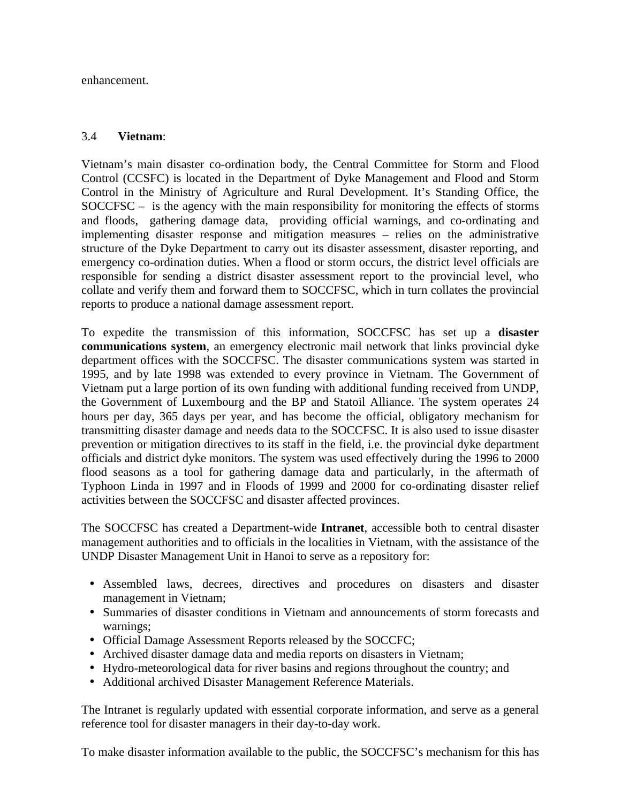enhancement.

## 3.4 **Vietnam**:

Vietnam's main disaster co-ordination body, the Central Committee for Storm and Flood Control (CCSFC) is located in the Department of Dyke Management and Flood and Storm Control in the Ministry of Agriculture and Rural Development. It's Standing Office, the SOCCFSC – is the agency with the main responsibility for monitoring the effects of storms and floods, gathering damage data, providing official warnings, and co-ordinating and implementing disaster response and mitigation measures – relies on the administrative structure of the Dyke Department to carry out its disaster assessment, disaster reporting, and emergency co-ordination duties. When a flood or storm occurs, the district level officials are responsible for sending a district disaster assessment report to the provincial level, who collate and verify them and forward them to SOCCFSC, which in turn collates the provincial reports to produce a national damage assessment report.

To expedite the transmission of this information, SOCCFSC has set up a **disaster communications system**, an emergency electronic mail network that links provincial dyke department offices with the SOCCFSC. The disaster communications system was started in 1995, and by late 1998 was extended to every province in Vietnam. The Government of Vietnam put a large portion of its own funding with additional funding received from UNDP, the Government of Luxembourg and the BP and Statoil Alliance. The system operates 24 hours per day, 365 days per year, and has become the official, obligatory mechanism for transmitting disaster damage and needs data to the SOCCFSC. It is also used to issue disaster prevention or mitigation directives to its staff in the field, i.e. the provincial dyke department officials and district dyke monitors. The system was used effectively during the 1996 to 2000 flood seasons as a tool for gathering damage data and particularly, in the aftermath of Typhoon Linda in 1997 and in Floods of 1999 and 2000 for co-ordinating disaster relief activities between the SOCCFSC and disaster affected provinces.

The SOCCFSC has created a Department-wide **Intranet**, accessible both to central disaster management authorities and to officials in the localities in Vietnam, with the assistance of the UNDP Disaster Management Unit in Hanoi to serve as a repository for:

- Assembled laws, decrees, directives and procedures on disasters and disaster management in Vietnam;
- Summaries of disaster conditions in Vietnam and announcements of storm forecasts and warnings;
- Official Damage Assessment Reports released by the SOCCFC;
- Archived disaster damage data and media reports on disasters in Vietnam;
- Hydro-meteorological data for river basins and regions throughout the country; and
- Additional archived Disaster Management Reference Materials.

The Intranet is regularly updated with essential corporate information, and serve as a general reference tool for disaster managers in their day-to-day work.

To make disaster information available to the public, the SOCCFSC's mechanism for this has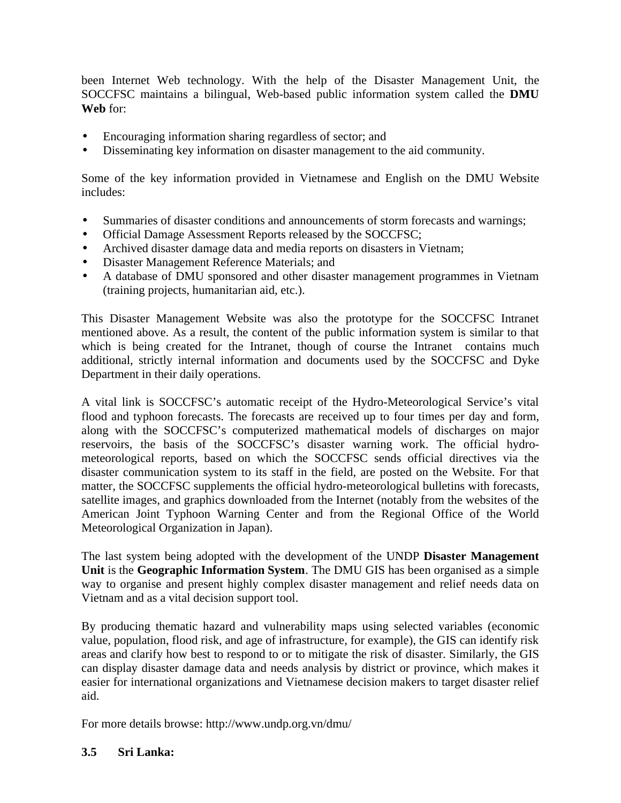been Internet Web technology. With the help of the Disaster Management Unit, the SOCCFSC maintains a bilingual, Web-based public information system called the **DMU Web** for:

- Encouraging information sharing regardless of sector; and
- Disseminating key information on disaster management to the aid community.

Some of the key information provided in Vietnamese and English on the DMU Website includes:

- Summaries of disaster conditions and announcements of storm forecasts and warnings;
- Official Damage Assessment Reports released by the SOCCFSC;
- Archived disaster damage data and media reports on disasters in Vietnam;
- Disaster Management Reference Materials; and
- A database of DMU sponsored and other disaster management programmes in Vietnam (training projects, humanitarian aid, etc.).

This Disaster Management Website was also the prototype for the SOCCFSC Intranet mentioned above. As a result, the content of the public information system is similar to that which is being created for the Intranet, though of course the Intranet contains much additional, strictly internal information and documents used by the SOCCFSC and Dyke Department in their daily operations.

A vital link is SOCCFSC's automatic receipt of the Hydro-Meteorological Service's vital flood and typhoon forecasts. The forecasts are received up to four times per day and form, along with the SOCCFSC's computerized mathematical models of discharges on major reservoirs, the basis of the SOCCFSC's disaster warning work. The official hydrometeorological reports, based on which the SOCCFSC sends official directives via the disaster communication system to its staff in the field, are posted on the Website. For that matter, the SOCCFSC supplements the official hydro-meteorological bulletins with forecasts, satellite images, and graphics downloaded from the Internet (notably from the websites of the American Joint Typhoon Warning Center and from the Regional Office of the World Meteorological Organization in Japan).

The last system being adopted with the development of the UNDP **Disaster Management Unit** is the **Geographic Information System**. The DMU GIS has been organised as a simple way to organise and present highly complex disaster management and relief needs data on Vietnam and as a vital decision support tool.

By producing thematic hazard and vulnerability maps using selected variables (economic value, population, flood risk, and age of infrastructure, for example), the GIS can identify risk areas and clarify how best to respond to or to mitigate the risk of disaster. Similarly, the GIS can display disaster damage data and needs analysis by district or province, which makes it easier for international organizations and Vietnamese decision makers to target disaster relief aid.

For more details browse: http://www.undp.org.vn/dmu/

#### **3.5 Sri Lanka:**